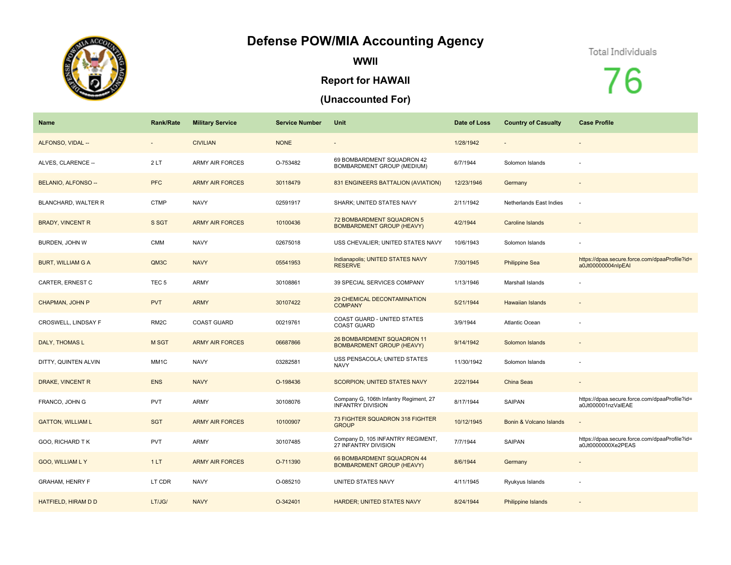## **Defense POW/MIA Accounting Agency**



**WWII**

## **Report for HAWAII**

## **(Unaccounted For)**

## Total Individuals

76

| Name                     | <b>Rank/Rate</b>         | <b>Military Service</b> | <b>Service Number</b> | Unit                                                               | Date of Loss | <b>Country of Casualty</b> | <b>Case Profile</b>                                                 |
|--------------------------|--------------------------|-------------------------|-----------------------|--------------------------------------------------------------------|--------------|----------------------------|---------------------------------------------------------------------|
| ALFONSO, VIDAL --        | $\overline{\phantom{m}}$ | <b>CIVILIAN</b>         | <b>NONE</b>           |                                                                    | 1/28/1942    |                            |                                                                     |
| ALVES, CLARENCE --       | 2LT                      | <b>ARMY AIR FORCES</b>  | O-753482              | 69 BOMBARDMENT SQUADRON 42<br>BOMBARDMENT GROUP (MEDIUM)           | 6/7/1944     | Solomon Islands            |                                                                     |
| BELANIO, ALFONSO --      | <b>PFC</b>               | <b>ARMY AIR FORCES</b>  | 30118479              | 831 ENGINEERS BATTALION (AVIATION)                                 | 12/23/1946   | Germany                    |                                                                     |
| BLANCHARD, WALTER R      | <b>CTMP</b>              | <b>NAVY</b>             | 02591917              | SHARK; UNITED STATES NAVY                                          | 2/11/1942    | Netherlands East Indies    |                                                                     |
| <b>BRADY, VINCENT R</b>  | S SGT                    | <b>ARMY AIR FORCES</b>  | 10100436              | 72 BOMBARDMENT SQUADRON 5<br><b>BOMBARDMENT GROUP (HEAVY)</b>      | 4/2/1944     | Caroline Islands           |                                                                     |
| BURDEN, JOHN W           | <b>CMM</b>               | <b>NAVY</b>             | 02675018              | USS CHEVALIER; UNITED STATES NAVY                                  | 10/6/1943    | Solomon Islands            |                                                                     |
| <b>BURT, WILLIAM G A</b> | QM3C                     | <b>NAVY</b>             | 05541953              | Indianapolis; UNITED STATES NAVY<br><b>RESERVE</b>                 | 7/30/1945    | <b>Philippine Sea</b>      | https://dpaa.secure.force.com/dpaaProfile?id=<br>a0Jt00000004nlpEAI |
| CARTER, ERNEST C         | TEC <sub>5</sub>         | ARMY                    | 30108861              | 39 SPECIAL SERVICES COMPANY                                        | 1/13/1946    | Marshall Islands           |                                                                     |
| CHAPMAN, JOHN P          | <b>PVT</b>               | <b>ARMY</b>             | 30107422              | 29 CHEMICAL DECONTAMINATION<br><b>COMPANY</b>                      | 5/21/1944    | <b>Hawaiian Islands</b>    |                                                                     |
| CROSWELL, LINDSAY F      | RM <sub>2</sub> C        | <b>COAST GUARD</b>      | 00219761              | COAST GUARD - UNITED STATES<br><b>COAST GUARD</b>                  | 3/9/1944     | Atlantic Ocean             |                                                                     |
| DALY, THOMAS L           | <b>MSGT</b>              | <b>ARMY AIR FORCES</b>  | 06687866              | 26 BOMBARDMENT SQUADRON 11<br><b>BOMBARDMENT GROUP (HEAVY)</b>     | 9/14/1942    | Solomon Islands            |                                                                     |
| DITTY, QUINTEN ALVIN     | MM1C                     | <b>NAVY</b>             | 03282581              | USS PENSACOLA; UNITED STATES<br><b>NAVY</b>                        | 11/30/1942   | Solomon Islands            |                                                                     |
| DRAKE, VINCENT R         | <b>ENS</b>               | <b>NAVY</b>             | O-198436              | SCORPION; UNITED STATES NAVY                                       | 2/22/1944    | China Seas                 | $\sim$                                                              |
| FRANCO, JOHN G           | <b>PVT</b>               | <b>ARMY</b>             | 30108076              | Company G, 106th Infantry Regiment, 27<br><b>INFANTRY DIVISION</b> | 8/17/1944    | SAIPAN                     | https://dpaa.secure.force.com/dpaaProfile?id=<br>a0Jt000001nzValEAE |
| <b>GATTON, WILLIAM L</b> | <b>SGT</b>               | <b>ARMY AIR FORCES</b>  | 10100907              | 73 FIGHTER SQUADRON 318 FIGHTER<br><b>GROUP</b>                    | 10/12/1945   | Bonin & Volcano Islands    |                                                                     |
| GOO, RICHARD TK          | <b>PVT</b>               | <b>ARMY</b>             | 30107485              | Company D, 105 INFANTRY REGIMENT,<br>27 INFANTRY DIVISION          | 7/7/1944     | SAIPAN                     | https://dpaa.secure.force.com/dpaaProfile?id=<br>a0Jt0000000Xe2PEAS |
| <b>GOO, WILLIAM L Y</b>  | 1LT                      | <b>ARMY AIR FORCES</b>  | O-711390              | 66 BOMBARDMENT SQUADRON 44<br><b>BOMBARDMENT GROUP (HEAVY)</b>     | 8/6/1944     | Germany                    |                                                                     |
| <b>GRAHAM, HENRY F</b>   | LT CDR                   | <b>NAVY</b>             | O-085210              | UNITED STATES NAVY                                                 | 4/11/1945    | Ryukyus Islands            |                                                                     |
| HATFIELD, HIRAM D D      | LT/JG/                   | <b>NAVY</b>             | O-342401              | <b>HARDER; UNITED STATES NAVY</b>                                  | 8/24/1944    | Philippine Islands         |                                                                     |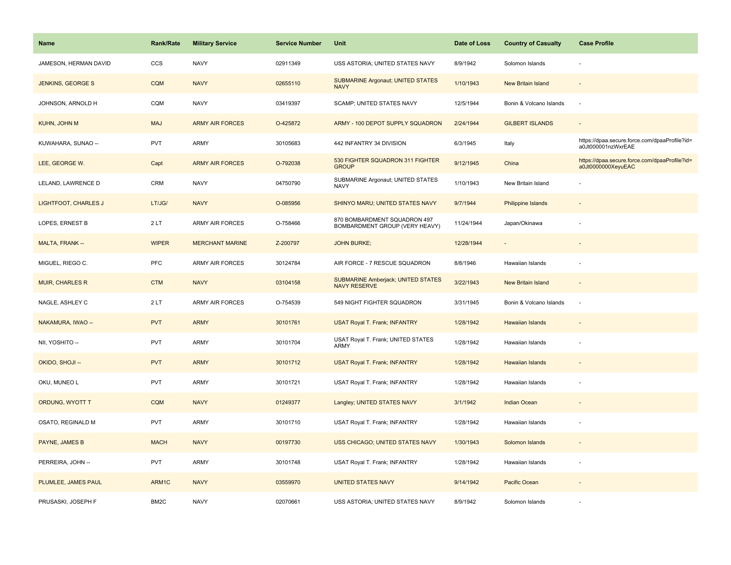| Name                        | <b>Rank/Rate</b> | <b>Military Service</b> | <b>Service Number</b> | Unit                                                             | Date of Loss | <b>Country of Casualty</b> | <b>Case Profile</b>                                                 |
|-----------------------------|------------------|-------------------------|-----------------------|------------------------------------------------------------------|--------------|----------------------------|---------------------------------------------------------------------|
| JAMESON, HERMAN DAVID       | CCS              | <b>NAVY</b>             | 02911349              | USS ASTORIA; UNITED STATES NAVY                                  | 8/9/1942     | Solomon Islands            |                                                                     |
| <b>JENKINS, GEORGE S</b>    | <b>CQM</b>       | <b>NAVY</b>             | 02655110              | <b>SUBMARINE Argonaut; UNITED STATES</b><br><b>NAVY</b>          | 1/10/1943    | <b>New Britain Island</b>  |                                                                     |
| JOHNSON, ARNOLD H           | CQM              | <b>NAVY</b>             | 03419397              | SCAMP; UNITED STATES NAVY                                        | 12/5/1944    | Bonin & Volcano Islands    | ÷.                                                                  |
| KUHN, JOHN M                | <b>MAJ</b>       | <b>ARMY AIR FORCES</b>  | O-425872              | ARMY - 100 DEPOT SUPPLY SQUADRON                                 | 2/24/1944    | <b>GILBERT ISLANDS</b>     |                                                                     |
| KUWAHARA, SUNAO --          | <b>PVT</b>       | ARMY                    | 30105683              | 442 INFANTRY 34 DIVISION                                         | 6/3/1945     | Italy                      | https://dpaa.secure.force.com/dpaaProfile?id=<br>a0Jt000001nzWxrEAE |
| LEE, GEORGE W.              | Capt             | <b>ARMY AIR FORCES</b>  | O-792038              | 530 FIGHTER SQUADRON 311 FIGHTER<br>GROUP                        | 9/12/1945    | China                      | https://dpaa.secure.force.com/dpaaProfile?id=<br>a0Jt0000000XeyuEAC |
| LELAND, LAWRENCE D          | CRM              | <b>NAVY</b>             | 04750790              | SUBMARINE Argonaut; UNITED STATES<br><b>NAVY</b>                 | 1/10/1943    | New Britain Island         |                                                                     |
| <b>LIGHTFOOT, CHARLES J</b> | LT/JG/           | <b>NAVY</b>             | O-085956              | SHINYO MARU; UNITED STATES NAVY                                  | 9/7/1944     | <b>Philippine Islands</b>  |                                                                     |
| LOPES, ERNEST B             | 2LT              | ARMY AIR FORCES         | O-758466              | 870 BOMBARDMENT SQUADRON 497<br>BOMBARDMENT GROUP (VERY HEAVY)   | 11/24/1944   | Japan/Okinawa              |                                                                     |
| MALTA, FRANK --             | <b>WIPER</b>     | <b>MERCHANT MARINE</b>  | Z-200797              | <b>JOHN BURKE;</b>                                               | 12/28/1944   |                            |                                                                     |
| MIGUEL, RIEGO C.            | <b>PFC</b>       | <b>ARMY AIR FORCES</b>  | 30124784              | AIR FORCE - 7 RESCUE SQUADRON                                    | 8/8/1946     | Hawaiian Islands           |                                                                     |
| <b>MUIR, CHARLES R</b>      | <b>CTM</b>       | <b>NAVY</b>             | 03104158              | <b>SUBMARINE Amberjack; UNITED STATES</b><br><b>NAVY RESERVE</b> | 3/22/1943    | New Britain Island         | $\sim$                                                              |
| NAGLE, ASHLEY C             | 2LT              | <b>ARMY AIR FORCES</b>  | O-754539              | 549 NIGHT FIGHTER SQUADRON                                       | 3/31/1945    | Bonin & Volcano Islands    | $\sim$                                                              |
| NAKAMURA, IWAO --           | <b>PVT</b>       | <b>ARMY</b>             | 30101761              | <b>USAT Royal T. Frank; INFANTRY</b>                             | 1/28/1942    | Hawaiian Islands           |                                                                     |
| NII, YOSHITO --             | <b>PVT</b>       | ARMY                    | 30101704              | USAT Royal T. Frank; UNITED STATES<br>ARMY                       | 1/28/1942    | Hawaiian Islands           |                                                                     |
| OKIDO, SHOJI --             | <b>PVT</b>       | <b>ARMY</b>             | 30101712              | <b>USAT Royal T. Frank; INFANTRY</b>                             | 1/28/1942    | <b>Hawaiian Islands</b>    |                                                                     |
| OKU, MUNEO L                | <b>PVT</b>       | ARMY                    | 30101721              | USAT Royal T. Frank; INFANTRY                                    | 1/28/1942    | Hawaiian Islands           |                                                                     |
| ORDUNG, WYOTT T             | <b>CQM</b>       | <b>NAVY</b>             | 01249377              | Langley; UNITED STATES NAVY                                      | 3/1/1942     | <b>Indian Ocean</b>        |                                                                     |
| OSATO, REGINALD M           | <b>PVT</b>       | ARMY                    | 30101710              | USAT Royal T. Frank; INFANTRY                                    | 1/28/1942    | Hawaiian Islands           |                                                                     |
| PAYNE, JAMES B              | <b>MACH</b>      | <b>NAVY</b>             | 00197730              | USS CHICAGO; UNITED STATES NAVY                                  | 1/30/1943    | Solomon Islands            |                                                                     |
| PERREIRA, JOHN --           | <b>PVT</b>       | ARMY                    | 30101748              | USAT Royal T. Frank; INFANTRY                                    | 1/28/1942    | Hawaiian Islands           |                                                                     |
| PLUMLEE, JAMES PAUL         | ARM1C            | <b>NAVY</b>             | 03559970              | <b>UNITED STATES NAVY</b>                                        | 9/14/1942    | Pacific Ocean              |                                                                     |
| PRUSASKI, JOSEPH F          | BM2C             | <b>NAVY</b>             | 02070661              | USS ASTORIA; UNITED STATES NAVY                                  | 8/9/1942     | Solomon Islands            |                                                                     |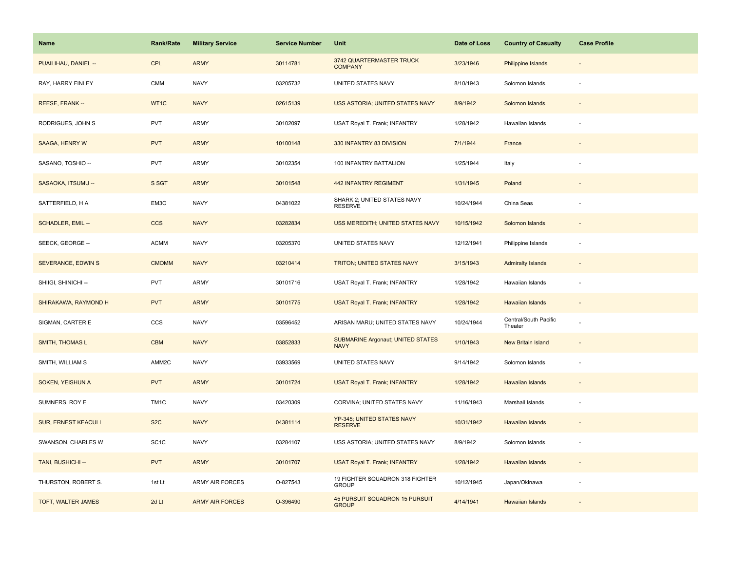| <b>Name</b>                | <b>Rank/Rate</b>      | <b>Military Service</b> | <b>Service Number</b> | Unit                                             | Date of Loss | <b>Country of Casualty</b>       | <b>Case Profile</b>      |
|----------------------------|-----------------------|-------------------------|-----------------------|--------------------------------------------------|--------------|----------------------------------|--------------------------|
| PUAILIHAU, DANIEL --       | <b>CPL</b>            | <b>ARMY</b>             | 30114781              | 3742 QUARTERMASTER TRUCK<br><b>COMPANY</b>       | 3/23/1946    | Philippine Islands               |                          |
| RAY, HARRY FINLEY          | $\mathsf{CMM}\xspace$ | <b>NAVY</b>             | 03205732              | UNITED STATES NAVY                               | 8/10/1943    | Solomon Islands                  | ÷.                       |
| REESE, FRANK --            | WT1C                  | <b>NAVY</b>             | 02615139              | USS ASTORIA; UNITED STATES NAVY                  | 8/9/1942     | Solomon Islands                  |                          |
| RODRIGUES, JOHN S          | <b>PVT</b>            | ARMY                    | 30102097              | USAT Royal T. Frank; INFANTRY                    | 1/28/1942    | Hawaiian Islands                 |                          |
| SAAGA, HENRY W             | <b>PVT</b>            | <b>ARMY</b>             | 10100148              | 330 INFANTRY 83 DIVISION                         | 7/1/1944     | France                           |                          |
| SASANO, TOSHIO --          | <b>PVT</b>            | ARMY                    | 30102354              | 100 INFANTRY BATTALION                           | 1/25/1944    | Italy                            |                          |
| SASAOKA, ITSUMU --         | S SGT                 | <b>ARMY</b>             | 30101548              | <b>442 INFANTRY REGIMENT</b>                     | 1/31/1945    | Poland                           |                          |
| SATTERFIELD, H A           | EM3C                  | <b>NAVY</b>             | 04381022              | SHARK 2; UNITED STATES NAVY<br><b>RESERVE</b>    | 10/24/1944   | China Seas                       |                          |
| <b>SCHADLER, EMIL --</b>   | <b>CCS</b>            | <b>NAVY</b>             | 03282834              | USS MEREDITH; UNITED STATES NAVY                 | 10/15/1942   | Solomon Islands                  |                          |
| SEECK, GEORGE --           | <b>ACMM</b>           | <b>NAVY</b>             | 03205370              | UNITED STATES NAVY                               | 12/12/1941   | Philippine Islands               | $\overline{\phantom{a}}$ |
| <b>SEVERANCE, EDWIN S</b>  | <b>CMOMM</b>          | <b>NAVY</b>             | 03210414              | TRITON; UNITED STATES NAVY                       | 3/15/1943    | <b>Admiralty Islands</b>         |                          |
| SHIIGI, SHINICHI --        | <b>PVT</b>            | ARMY                    | 30101716              | USAT Royal T. Frank; INFANTRY                    | 1/28/1942    | Hawaiian Islands                 |                          |
| SHIRAKAWA, RAYMOND H       | <b>PVT</b>            | <b>ARMY</b>             | 30101775              | <b>USAT Royal T. Frank; INFANTRY</b>             | 1/28/1942    | <b>Hawaiian Islands</b>          | $\overline{\phantom{a}}$ |
| SIGMAN, CARTER E           | CCS                   | <b>NAVY</b>             | 03596452              | ARISAN MARU; UNITED STATES NAVY                  | 10/24/1944   | Central/South Pacific<br>Theater |                          |
| SMITH, THOMAS L            | CBM                   | <b>NAVY</b>             | 03852833              | SUBMARINE Argonaut; UNITED STATES<br><b>NAVY</b> | 1/10/1943    | <b>New Britain Island</b>        | $\overline{\phantom{a}}$ |
| SMITH, WILLIAM S           | AMM2C                 | <b>NAVY</b>             | 03933569              | UNITED STATES NAVY                               | 9/14/1942    | Solomon Islands                  | $\overline{\phantom{a}}$ |
| SOKEN, YEISHUN A           | <b>PVT</b>            | <b>ARMY</b>             | 30101724              | <b>USAT Royal T. Frank; INFANTRY</b>             | 1/28/1942    | <b>Hawaiian Islands</b>          |                          |
| SUMNERS, ROY E             | TM1C                  | <b>NAVY</b>             | 03420309              | CORVINA; UNITED STATES NAVY                      | 11/16/1943   | Marshall Islands                 |                          |
| <b>SUR, ERNEST KEACULI</b> | S <sub>2</sub> C      | <b>NAVY</b>             | 04381114              | YP-345; UNITED STATES NAVY<br><b>RESERVE</b>     | 10/31/1942   | <b>Hawaiian Islands</b>          |                          |
| SWANSON, CHARLES W         | SC <sub>1</sub> C     | <b>NAVY</b>             | 03284107              | USS ASTORIA; UNITED STATES NAVY                  | 8/9/1942     | Solomon Islands                  |                          |
| TANI, BUSHICHI --          | <b>PVT</b>            | <b>ARMY</b>             | 30101707              | <b>USAT Royal T. Frank; INFANTRY</b>             | 1/28/1942    | Hawaiian Islands                 |                          |
| THURSTON, ROBERT S.        | 1st Lt                | ARMY AIR FORCES         | O-827543              | 19 FIGHTER SQUADRON 318 FIGHTER<br><b>GROUP</b>  | 10/12/1945   | Japan/Okinawa                    |                          |
| TOFT, WALTER JAMES         | 2d Lt                 | <b>ARMY AIR FORCES</b>  | O-396490              | 45 PURSUIT SQUADRON 15 PURSUIT<br><b>GROUP</b>   | 4/14/1941    | Hawaiian Islands                 |                          |